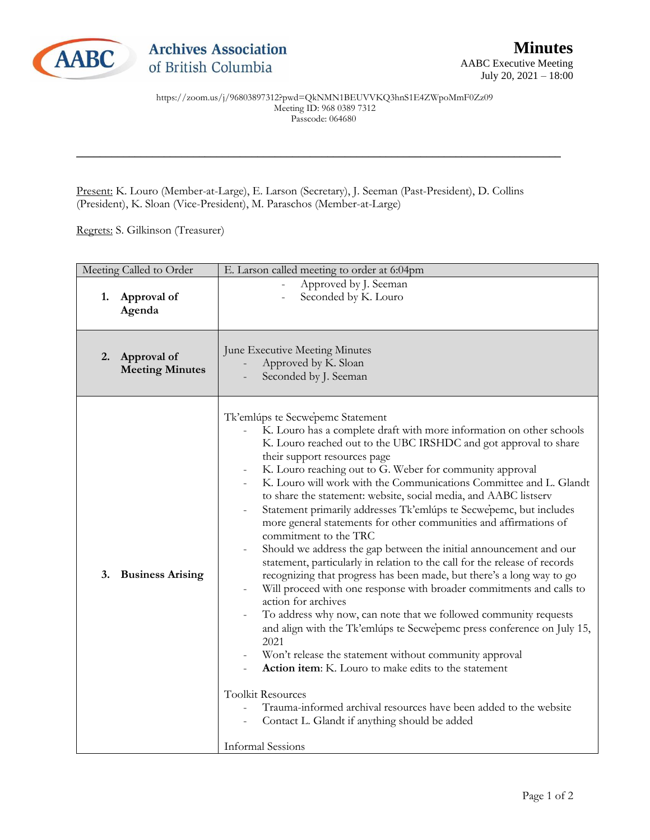

https://zoom.us/j/96803897312?pwd=QkNMN1BEUVVKQ3hnS1E4ZWpoMmF0Zz09 Meeting ID: 968 0389 7312 Passcode: 064680

\_\_\_\_\_\_\_\_\_\_\_\_\_\_\_\_\_\_\_\_\_\_\_\_\_\_\_\_\_\_\_\_\_\_\_\_\_\_\_\_\_\_\_\_\_\_\_\_\_\_\_\_\_\_\_\_\_\_\_\_\_\_\_\_\_\_\_\_\_\_\_\_\_\_\_\_\_\_\_\_\_\_\_

Present: K. Louro (Member-at-Large), E. Larson (Secretary), J. Seeman (Past-President), D. Collins (President), K. Sloan (Vice-President), M. Paraschos (Member-at-Large)

Regrets: S. Gilkinson (Treasurer)

|    | Meeting Called to Order               | E. Larson called meeting to order at 6:04pm                                                                                                                                                                                                                                                                                                                                                                                                                                                                                                                                                                                                                                                                                                                                                                                                                                                                                                                                                                                                                                                                                                                                                                                                                                                                                                                              |
|----|---------------------------------------|--------------------------------------------------------------------------------------------------------------------------------------------------------------------------------------------------------------------------------------------------------------------------------------------------------------------------------------------------------------------------------------------------------------------------------------------------------------------------------------------------------------------------------------------------------------------------------------------------------------------------------------------------------------------------------------------------------------------------------------------------------------------------------------------------------------------------------------------------------------------------------------------------------------------------------------------------------------------------------------------------------------------------------------------------------------------------------------------------------------------------------------------------------------------------------------------------------------------------------------------------------------------------------------------------------------------------------------------------------------------------|
| 1. | Approval of<br>Agenda                 | Approved by J. Seeman<br>Seconded by K. Louro                                                                                                                                                                                                                                                                                                                                                                                                                                                                                                                                                                                                                                                                                                                                                                                                                                                                                                                                                                                                                                                                                                                                                                                                                                                                                                                            |
| 2. | Approval of<br><b>Meeting Minutes</b> | June Executive Meeting Minutes<br>Approved by K. Sloan<br>Seconded by J. Seeman                                                                                                                                                                                                                                                                                                                                                                                                                                                                                                                                                                                                                                                                                                                                                                                                                                                                                                                                                                                                                                                                                                                                                                                                                                                                                          |
| 3. | <b>Business Arising</b>               | Tk'emlúps te Secwepemc Statement<br>K. Louro has a complete draft with more information on other schools<br>K. Louro reached out to the UBC IRSHDC and got approval to share<br>their support resources page<br>K. Louro reaching out to G. Weber for community approval<br>K. Louro will work with the Communications Committee and L. Glandt<br>to share the statement: website, social media, and AABC listserv<br>Statement primarily addresses Tk'emlúps te Secwepemc, but includes<br>more general statements for other communities and affirmations of<br>commitment to the TRC<br>Should we address the gap between the initial announcement and our<br>statement, particularly in relation to the call for the release of records<br>recognizing that progress has been made, but there's a long way to go<br>Will proceed with one response with broader commitments and calls to<br>action for archives<br>To address why now, can note that we followed community requests<br>and align with the Tk'emlúps te Secwepemc press conference on July 15,<br>2021<br>Won't release the statement without community approval<br>Action item: K. Louro to make edits to the statement<br><b>Toolkit Resources</b><br>Trauma-informed archival resources have been added to the website<br>Contact L. Glandt if anything should be added<br><b>Informal Sessions</b> |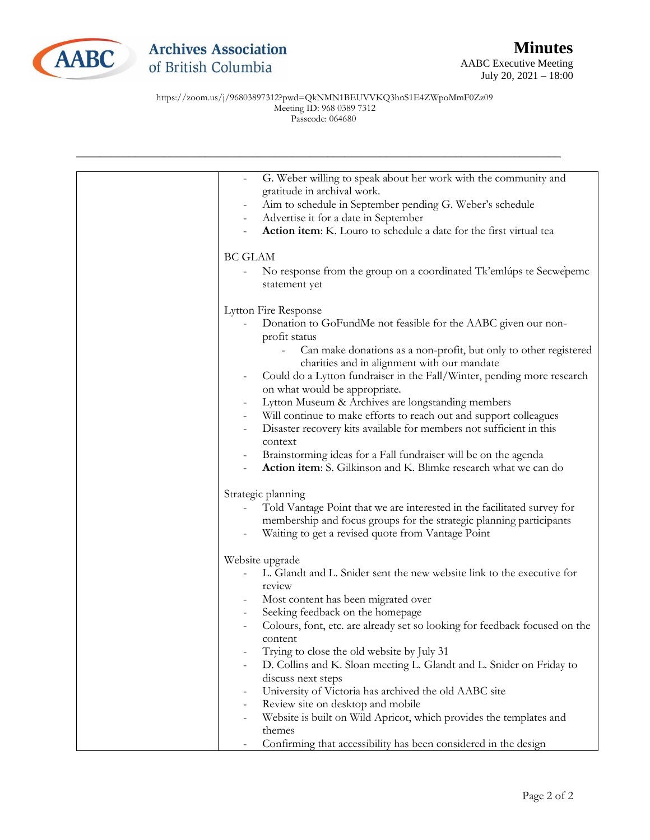

https://zoom.us/j/96803897312?pwd=QkNMN1BEUVVKQ3hnS1E4ZWpoMmF0Zz09 Meeting ID: 968 0389 7312 Passcode: 064680

| G. Weber willing to speak about her work with the community and<br>$\qquad \qquad \blacksquare$<br>gratitude in archival work. |
|--------------------------------------------------------------------------------------------------------------------------------|
| Aim to schedule in September pending G. Weber's schedule                                                                       |
| Advertise it for a date in September                                                                                           |
| Action item: K. Louro to schedule a date for the first virtual tea                                                             |
| <b>BC GLAM</b>                                                                                                                 |
| No response from the group on a coordinated Tk'emlúps te Secwepemc<br>statement yet                                            |
| Lytton Fire Response                                                                                                           |
| Donation to GoFundMe not feasible for the AABC given our non-<br>profit status                                                 |
| Can make donations as a non-profit, but only to other registered<br>charities and in alignment with our mandate                |
| Could do a Lytton fundraiser in the Fall/Winter, pending more research<br>$\qquad \qquad =$<br>on what would be appropriate.   |
| Lytton Museum & Archives are longstanding members                                                                              |
| Will continue to make efforts to reach out and support colleagues                                                              |
| Disaster recovery kits available for members not sufficient in this<br>context                                                 |
| Brainstorming ideas for a Fall fundraiser will be on the agenda                                                                |
| Action item: S. Gilkinson and K. Blimke research what we can do                                                                |
| Strategic planning                                                                                                             |
| Told Vantage Point that we are interested in the facilitated survey for                                                        |
| membership and focus groups for the strategic planning participants                                                            |
| Waiting to get a revised quote from Vantage Point                                                                              |
| Website upgrade                                                                                                                |
| L. Glandt and L. Snider sent the new website link to the executive for<br>review                                               |
| Most content has been migrated over                                                                                            |
| Seeking feedback on the homepage                                                                                               |
| Colours, font, etc. are already set so looking for feedback focused on the<br>content                                          |
| Trying to close the old website by July 31                                                                                     |
| D. Collins and K. Sloan meeting L. Glandt and L. Snider on Friday to                                                           |
| discuss next steps                                                                                                             |
| University of Victoria has archived the old AABC site                                                                          |
| Review site on desktop and mobile<br>Website is built on Wild Apricot, which provides the templates and                        |
| $\overline{a}$<br>themes                                                                                                       |
| Confirming that accessibility has been considered in the design                                                                |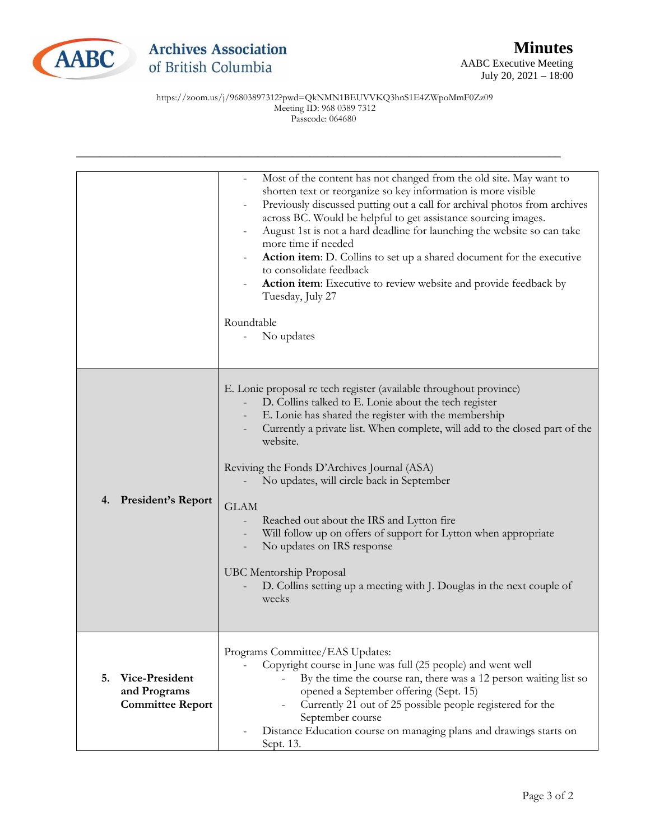

https://zoom.us/j/96803897312?pwd=QkNMN1BEUVVKQ3hnS1E4ZWpoMmF0Zz09 Meeting ID: 968 0389 7312 Passcode: 064680

|                                                                 | Most of the content has not changed from the old site. May want to<br>shorten text or reorganize so key information is more visible<br>Previously discussed putting out a call for archival photos from archives<br>across BC. Would be helpful to get assistance sourcing images.<br>August 1st is not a hard deadline for launching the website so can take<br>more time if needed<br>Action item: D. Collins to set up a shared document for the executive<br>to consolidate feedback<br>Action item: Executive to review website and provide feedback by<br>Tuesday, July 27<br>Roundtable<br>No updates                                         |
|-----------------------------------------------------------------|------------------------------------------------------------------------------------------------------------------------------------------------------------------------------------------------------------------------------------------------------------------------------------------------------------------------------------------------------------------------------------------------------------------------------------------------------------------------------------------------------------------------------------------------------------------------------------------------------------------------------------------------------|
| <b>President's Report</b><br>4.                                 | E. Lonie proposal re tech register (available throughout province)<br>D. Collins talked to E. Lonie about the tech register<br>E. Lonie has shared the register with the membership<br>Currently a private list. When complete, will add to the closed part of the<br>website.<br>Reviving the Fonds D'Archives Journal (ASA)<br>No updates, will circle back in September<br><b>GLAM</b><br>Reached out about the IRS and Lytton fire<br>Will follow up on offers of support for Lytton when appropriate<br>No updates on IRS response<br>UBC Mentorship Proposal<br>D. Collins setting up a meeting with J. Douglas in the next couple of<br>weeks |
| 5.<br>Vice-President<br>and Programs<br><b>Committee Report</b> | Programs Committee/EAS Updates:<br>Copyright course in June was full (25 people) and went well<br>By the time the course ran, there was a 12 person waiting list so<br>opened a September offering (Sept. 15)<br>Currently 21 out of 25 possible people registered for the<br>September course<br>Distance Education course on managing plans and drawings starts on<br>Sept. 13.                                                                                                                                                                                                                                                                    |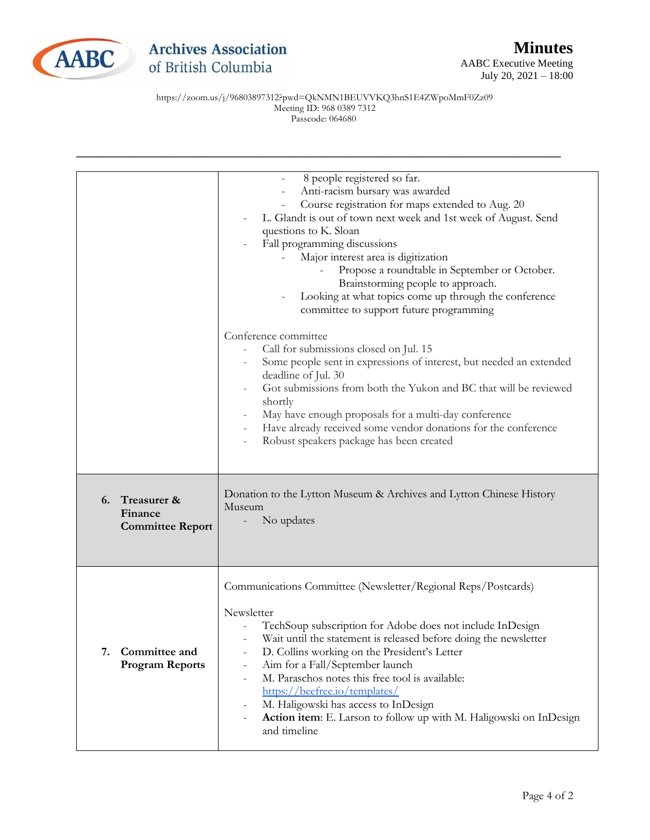

## **Archives Association** of British Columbia

AABC Executive Meeting July 20, 2021 – 18:00

https://zoom.us/j/96803897312?pwd=QkNMN1BEUVVKQ3hnS1E4ZWpoMmF0Zz09 Meeting ID: 968 0389 7312 Passcode: 064680

|                                                         | 8 people registered so far.<br>$\overline{\phantom{0}}$<br>Anti-racism bursary was awarded<br>$\overline{\phantom{0}}$<br>Course registration for maps extended to Aug. 20<br>L. Glandt is out of town next week and 1st week of August. Send<br>questions to K. Sloan<br>Fall programming discussions<br>Major interest area is digitization<br>Propose a roundtable in September or October.<br>Brainstorming people to approach.<br>Looking at what topics come up through the conference<br>committee to support future programming                                                                                                                       |
|---------------------------------------------------------|---------------------------------------------------------------------------------------------------------------------------------------------------------------------------------------------------------------------------------------------------------------------------------------------------------------------------------------------------------------------------------------------------------------------------------------------------------------------------------------------------------------------------------------------------------------------------------------------------------------------------------------------------------------|
|                                                         | Conference committee<br>Call for submissions closed on Jul. 15<br>Some people sent in expressions of interest, but needed an extended<br>deadline of Jul. 30<br>Got submissions from both the Yukon and BC that will be reviewed<br>shortly<br>May have enough proposals for a multi-day conference<br>Have already received some vendor donations for the conference<br>Robust speakers package has been created<br>$\overline{a}$                                                                                                                                                                                                                           |
| Treasurer &<br>6.<br>Finance<br><b>Committee Report</b> | Donation to the Lytton Museum & Archives and Lytton Chinese History<br>Museum<br>No updates                                                                                                                                                                                                                                                                                                                                                                                                                                                                                                                                                                   |
| Committee and<br>7.<br><b>Program Reports</b>           | Communications Committee (Newsletter/Regional Reps/Postcards)<br>Newsletter<br>TechSoup subscription for Adobe does not include InDesign<br>Wait until the statement is released before doing the newsletter<br>D. Collins working on the President's Letter<br>$\overline{\phantom{0}}$<br>Aim for a Fall/September launch<br>$\overline{\phantom{0}}$<br>M. Paraschos notes this free tool is available:<br>$\overline{\phantom{0}}$<br>https://beefree.io/templates/<br>M. Haligowski has access to InDesign<br>$\overline{\phantom{0}}$<br>Action item: E. Larson to follow up with M. Haligowski on InDesign<br>$\overline{\phantom{0}}$<br>and timeline |